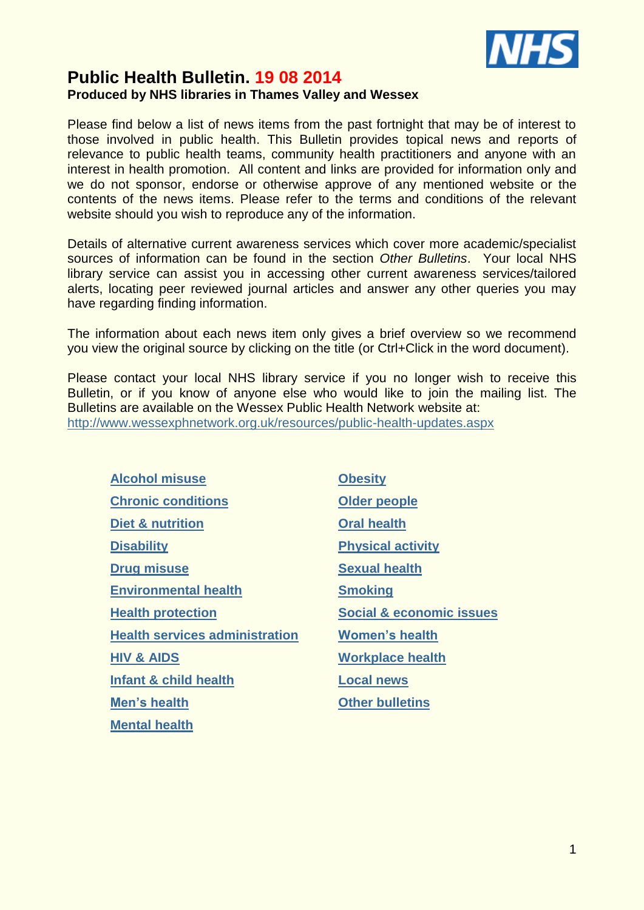

# **Public Health Bulletin. 19 08 2014 Produced by NHS libraries in Thames Valley and Wessex**

Please find below a list of news items from the past fortnight that may be of interest to those involved in public health. This Bulletin provides topical news and reports of relevance to public health teams, community health practitioners and anyone with an interest in health promotion. All content and links are provided for information only and we do not sponsor, endorse or otherwise approve of any mentioned website or the contents of the news items. Please refer to the terms and conditions of the relevant website should you wish to reproduce any of the information.

Details of alternative current awareness services which cover more academic/specialist sources of information can be found in the section *Other Bulletins*. Your local NHS library service can assist you in accessing other current awareness services/tailored alerts, locating peer reviewed journal articles and answer any other queries you may have regarding finding information.

The information about each news item only gives a brief overview so we recommend you view the original source by clicking on the title (or Ctrl+Click in the word document).

Please contact your local NHS library service if you no longer wish to receive this Bulletin, or if you know of anyone else who would like to join the mailing list. The Bulletins are available on the Wessex Public Health Network website at: <http://www.wessexphnetwork.org.uk/resources/public-health-updates.aspx>

<span id="page-0-2"></span><span id="page-0-1"></span><span id="page-0-0"></span>**[Alcohol misuse](#page-0-0) [Obesity](#page-7-0) [Chronic conditions](#page-0-1) [Older people](#page-7-1) [Diet & nutrition](#page-0-2) [Oral health](#page-1-0) [Disability](#page-1-0) [Physical activity](#page-8-0) [Drug misuse](#page-1-0) [Environmental health](#page-1-0) [Health protection](#page-5-0) [Social & economic issues](#page-9-1) [Health services administration](#page-5-1) [Women's health](#page-10-0) [HIV & AIDS](#page-6-0) [Workplace](#page-10-1) health [Infant & child health](#page-6-1) [Local news](#page-1-0) [Men's health](#page-7-2) [Other bulletins](#page-0-3)** 

**[Mental](#page-7-3) health**

<span id="page-0-3"></span>**[Sexual health](#page-8-1) [Smoking](#page-9-0)**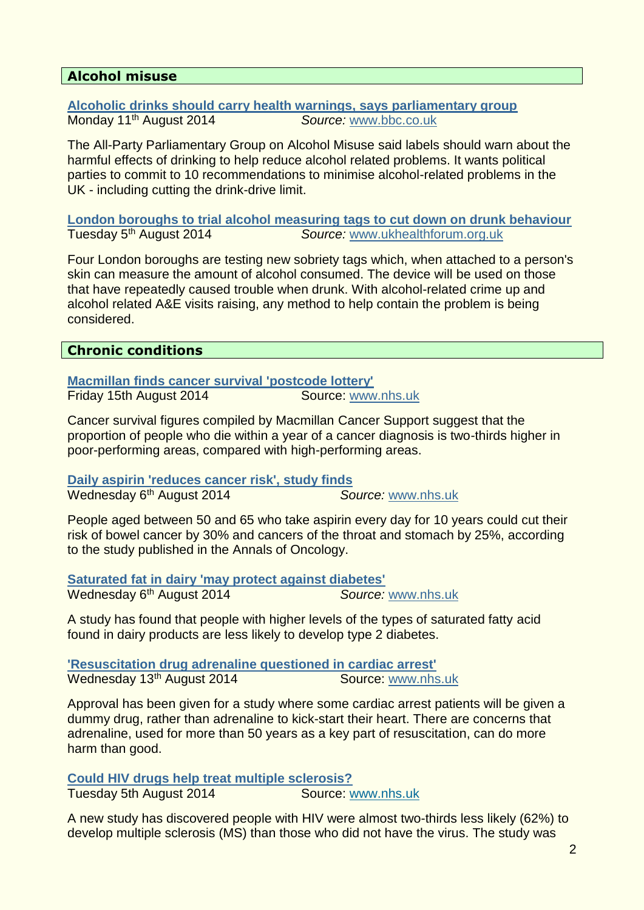# <span id="page-1-0"></span>**Alcohol misuse**

**[Alcoholic drinks should carry health warnings, says parliamentary group](http://www.bbc.co.uk/news/uk-politics-28735740)** Monday 11th August 2014 *Source:* [www.bbc.co.uk](http://www.bbc.co.uk/)

The All-Party Parliamentary Group on Alcohol Misuse said labels should warn about the harmful effects of drinking to help reduce alcohol related problems. It wants political parties to commit to 10 recommendations to minimise alcohol-related problems in the UK - including cutting the drink-drive limit.

**[London boroughs to trial alcohol measuring tags to cut down on drunk behaviour](http://www.theguardian.com/uk-news/poll/2014/jul/31/sobrity-tags-offenders-alcohol-london-boris-johnson)** Tuesday 5th August 2014 *Source:* [www.ukhealthforum.org.uk](http://www.ukhealthforum.org.uk/)

Four London boroughs are testing new sobriety tags which, when attached to a person's skin can measure the amount of alcohol consumed. The device will be used on those that have repeatedly caused trouble when drunk. With alcohol-related crime up and alcohol related A&E visits raising, any method to help contain the problem is being considered.

#### **Chronic conditions**

**[Macmillan finds cancer survival 'postcode lottery'](http://www.nhs.uk/news/2014/08August/Pages/macmillan-finds-cancer-survival-postcode-lottery.aspx)** Friday 15th August 2014 Source: [www.nhs.uk](http://www.nhs.uk/)

Cancer survival figures compiled by Macmillan Cancer Support suggest that the proportion of people who die within a year of a cancer diagnosis is two-thirds higher in poor-performing areas, compared with high-performing areas.

**[Daily aspirin 'reduces cancer risk', study finds](http://www.nhs.uk/news/2014/08August/Pages/Daily-aspirin-reduces-cancer-risk-study-finds.aspx)** Wednesday 6th August 2014 *Source:* [www.nhs.uk](http://www.nhs.uk/)

People aged between 50 and 65 who take aspirin every day for 10 years could cut their risk of bowel cancer by 30% and cancers of the throat and stomach by 25%, according to the study published in the Annals of Oncology.

**[Saturated fat in dairy 'may protect against diabetes'](http://www.nhs.uk/news/2014/08August/Pages/Saturated-fat-in-dairy-may-reduce-diabetes-risk.aspx)** Wednesday 6th August 2014 *Source:* [www.nhs.uk](http://www.nhs.uk/)

A study has found that people with higher levels of the types of saturated fatty acid found in dairy products are less likely to develop type 2 diabetes.

**['Resuscitation drug adrenaline questioned in cardiac arrest'](http://www.bbc.co.uk/news/health-28770885)** Wednesday 13<sup>th</sup> August 2014 **Source:** [www.nhs.uk](http://www.nhs.uk/)

Approval has been given for a study where some cardiac arrest patients will be given a dummy drug, rather than adrenaline to kick-start their heart. There are concerns that adrenaline, used for more than 50 years as a key part of resuscitation, can do more harm than good.

**[Could HIV drugs help treat multiple sclerosis?](http://www.nhs.uk/news/2014/08August/Pages/HIV-drugs-could-treat-multiple-sclerosis.aspx)**

Tuesday 5th August 2014 Source: [www.nhs.uk](http://www.nhs.uk/)

A new study has discovered people with HIV were almost two-thirds less likely (62%) to develop multiple sclerosis (MS) than those who did not have the virus. The study was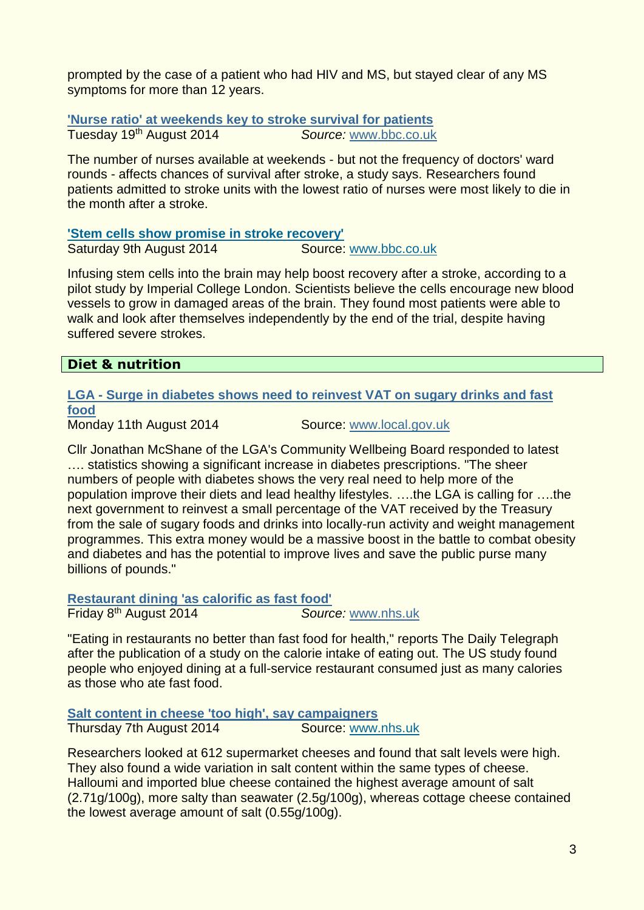prompted by the case of a patient who had HIV and MS, but stayed clear of any MS symptoms for more than 12 years.

**['Nurse ratio' at weekends key to stroke survival for patients](http://www.bbc.co.uk/news/health-28850993)** Tuesday 19th August 2014 *Source:* [www.bbc.co.uk](http://www.bbc.co.uk/)

The number of nurses available at weekends - but not the frequency of doctors' ward rounds - affects chances of survival after stroke, a study says. Researchers found patients admitted to stroke units with the lowest ratio of nurses were most likely to die in the month after a stroke.

#### **['Stem cells show promise in stroke recovery'](http://www.bbc.co.uk/news/health-28694656)**

Saturday 9th August 2014 Source: [www.bbc.co.uk](http://www.bbc.co.uk/)

Infusing stem cells into the brain may help boost recovery after a stroke, according to a pilot study by Imperial College London. Scientists believe the cells encourage new blood vessels to grow in damaged areas of the brain. They found most patients were able to walk and look after themselves independently by the end of the trial, despite having suffered severe strokes.

#### **Diet & nutrition**

**LGA - [Surge in diabetes shows need to reinvest VAT on sugary drinks and fast](http://www.wired-gov.net/wg/news.nsf/articles/LGA+Surge+in+diabetes+shows+need+to+reinvest+VAT+on+sugary+drinks+and+fast+food+12082014164024)  [food](http://www.wired-gov.net/wg/news.nsf/articles/LGA+Surge+in+diabetes+shows+need+to+reinvest+VAT+on+sugary+drinks+and+fast+food+12082014164024)**

Monday 11th August 2014 Source: [www.local.gov.uk](http://www.local.gov.uk/)

Cllr Jonathan McShane of the LGA's Community Wellbeing Board responded to latest .... statistics showing a significant increase in diabetes prescriptions. "The sheer numbers of people with diabetes shows the very real need to help more of the population improve their diets and lead healthy lifestyles. ….the LGA is calling for ….the next government to reinvest a small percentage of the VAT received by the Treasury from the sale of sugary foods and drinks into locally-run activity and weight management programmes. This extra money would be a massive boost in the battle to combat obesity and diabetes and has the potential to improve lives and save the public purse many billions of pounds."

**[Restaurant dining 'as calorific as fast food'](http://www.nhs.uk/news/2014/08August/Pages/restaurant-dining-as-calorific-as-fast-food.aspx)**

Friday 8th August 2014 *Source:* [www.nhs.uk](http://www.nhs.uk/)

"Eating in restaurants no better than fast food for health," reports The Daily Telegraph after the publication of a study on the calorie intake of eating out. The US study found people who enjoyed dining at a full-service restaurant consumed just as many calories as those who ate fast food.

**[Salt content in cheese 'too high', say campaigners](http://www.nhs.uk/news/2014/08August/Pages/Salt-content-in-cheese-too-high-say-campaigners.aspx)**

Thursday 7th August 2014 **Source: [www.nhs.uk](http://www.nhs.uk/)** 

Researchers looked at 612 supermarket cheeses and found that salt levels were high. They also found a wide variation in salt content within the same types of cheese. Halloumi and imported blue cheese contained the highest average amount of salt (2.71g/100g), more salty than seawater (2.5g/100g), whereas cottage cheese contained the lowest average amount of salt (0.55g/100g).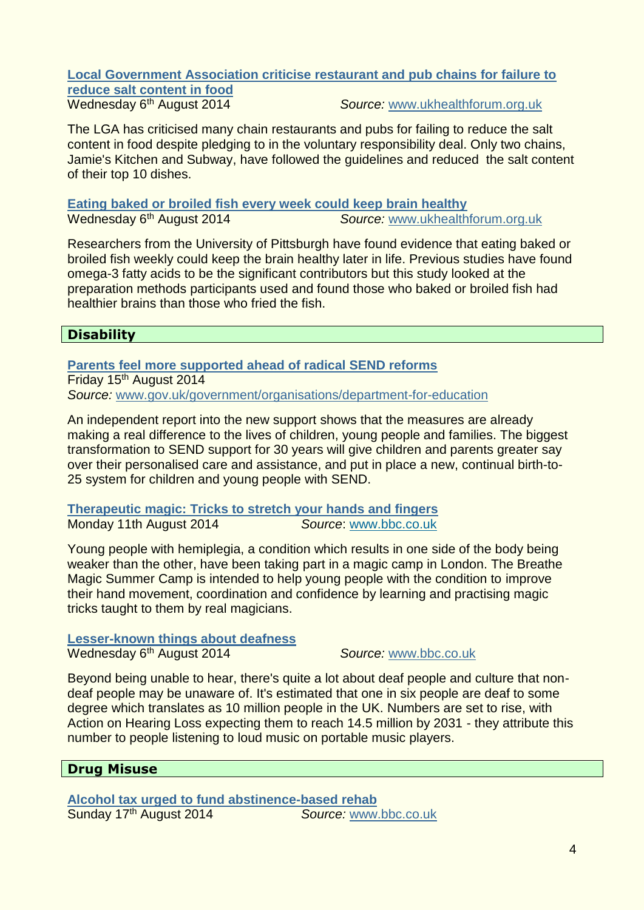# **[Local Government Association criticise restaurant and pub chains for failure to](http://www.actiononsalt.org.uk/news/surveys/2013/Chef%20Survey/92404.html)**

**[reduce salt content in food](http://www.actiononsalt.org.uk/news/surveys/2013/Chef%20Survey/92404.html)**<br>Wednesday 6<sup>th</sup> August 2014

Source: [www.ukhealthforum.org.uk](http://www.ukhealthforum.org.uk/)

The LGA has criticised many chain restaurants and pubs for failing to reduce the salt content in food despite pledging to in the voluntary responsibility deal. Only two chains, Jamie's Kitchen and Subway, have followed the guidelines and reduced the salt content of their top 10 dishes.

**[Eating baked or broiled fish every week could keep brain healthy](http://www.ukhealthforum.org.uk/prevention/pie/?entryid43=36799)** Source: [www.ukhealthforum.org.uk](http://www.ukhealthforum.org.uk/)

Researchers from the University of Pittsburgh have found evidence that eating baked or broiled fish weekly could keep the brain healthy later in life. Previous studies have found omega-3 fatty acids to be the significant contributors but this study looked at the preparation methods participants used and found those who baked or broiled fish had healthier brains than those who fried the fish.

# **Disability**

**[Parents feel more supported ahead of radical SEND reforms](https://www.gov.uk/government/news/parents-feel-more-supported-ahead-of-radical-send-reforms)** Friday 15<sup>th</sup> August 2014 *Source:* www.gov.uk/government/organisations/department-for-education

An independent report into the new support shows that the measures are already making a real difference to the lives of children, young people and families. The biggest transformation to SEND support for 30 years will give children and parents greater say over their personalised care and assistance, and put in place a new, continual birth-to-25 system for children and young people with SEND.

**[Therapeutic magic: Tricks to stretch your hands and fingers](http://www.bbc.co.uk/news/health-28690665)** Monday 11th August 2014 *Source*: [www.bbc.co.uk](http://www.bbc.co.uk/)

Young people with hemiplegia, a condition which results in one side of the body being weaker than the other, have been taking part in a magic camp in London. The Breathe Magic Summer Camp is intended to help young people with the condition to improve their hand movement, coordination and confidence by learning and practising magic tricks taught to them by real magicians.

**[Lesser-known things about deafness](http://www.bbc.co.uk/news/blogs-ouch-28658895)** Wednesday 6th August 2014 *Source:* [www.bbc.co.uk](http://www.bbc.co.uk/)

Beyond being unable to hear, there's quite a lot about deaf people and culture that nondeaf people may be unaware of. It's estimated that one in six people are deaf to some degree which translates as 10 million people in the UK. Numbers are set to rise, with Action on Hearing Loss expecting them to reach 14.5 million by 2031 - they attribute this number to people listening to loud music on portable music players.

# **Drug Misuse**

**[Alcohol tax urged to fund abstinence-based rehab](http://www.bbc.co.uk/news/uk-28820589)** Sunday 17th August 2014 *Source:* www.bbc.co.uk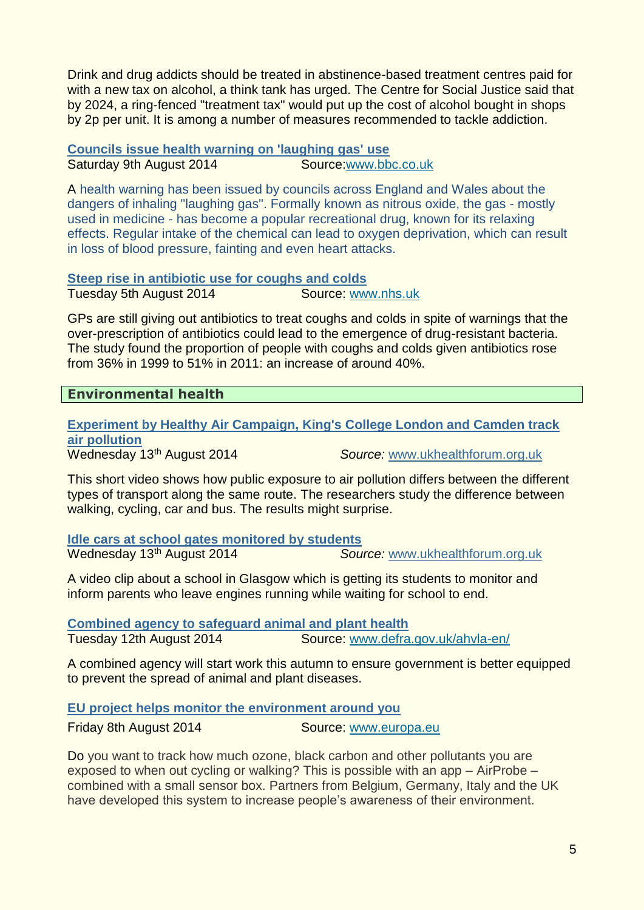Drink and drug addicts should be treated in abstinence-based treatment centres paid for with a new tax on alcohol, a think tank has urged. The Centre for Social Justice said that by 2024, a ring-fenced "treatment tax" would put up the cost of alcohol bought in shops by 2p per unit. It is among a number of measures recommended to tackle addiction.

**[Councils issue health warning on 'laughing gas' use](http://www.bbc.co.uk/news/uk-28710824)** Saturday 9th August 2014 Source:www.bbc.co.uk

A health warning has been issued by councils across England and Wales about the dangers of inhaling "laughing gas". Formally known as nitrous oxide, the gas - mostly used in medicine - has become a popular recreational drug, known for its relaxing effects. Regular intake of the chemical can lead to oxygen deprivation, which can result in loss of blood pressure, fainting and even heart attacks.

#### **Steep rise in antibiotic use for coughs and colds**

Tuesday 5th August 2014 Source: [www.nhs.uk](http://www.nhs.uk/)

GPs are still giving out antibiotics to treat coughs and colds in spite of warnings that the over-prescription of antibiotics could lead to the emergence of drug-resistant bacteria. The study found the proportion of people with coughs and colds given antibiotics rose from 36% in 1999 to 51% in 2011: an increase of around 40%.

#### **Environmental health**

**[Experiment by Healthy Air Campaign, King's College London and Camden track](http://www.ukhealthforum.org.uk/prevention/pie/?entryid43=36880)  [air pollution](http://www.ukhealthforum.org.uk/prevention/pie/?entryid43=36880)** Wednesday 13th August 2014 *Source:* [www.ukhealthforum.org.uk](http://www.ukhealthforum.org.uk/)

This short video shows how public exposure to air pollution differs between the different types of transport along the same route. The researchers study the difference between walking, cycling, car and bus. The results might surprise.

**[Idle cars at school gates monitored by students](http://www.ukhealthforum.org.uk/prevention/pie/?entryid43=36868)** Wednesday 13th August 2014 *Source:* [www.ukhealthforum.org.uk](http://www.ukhealthforum.org.uk/)

A video clip about a school in Glasgow which is getting its students to monitor and inform parents who leave engines running while waiting for school to end.

**[Combined agency to safeguard animal and plant health](http://www.wired-gov.net/wg/news.nsf/articles/Combined+agency+to+safeguard+animal+and+plant+health+12082014091000)** Tuesday 12th August 2014 Source: [www.defra.gov.uk/ahvla-en/](http://www.defra.gov.uk/ahvla-en/)

A combined agency will start work this autumn to ensure government is better equipped to prevent the spread of animal and plant diseases.

**[EU project helps monitor the environment around you](http://www.wired-gov.net/wg/news.nsf/articles/EU+project+helps+monitor+the+environment+around+you+08082014122500)**

Friday 8th August 2014 Source: www.europa.eu

Do you want to track how much ozone, black carbon and other pollutants you are exposed to when out cycling or walking? This is possible with an app – AirProbe – combined with a small sensor box. Partners from Belgium, Germany, Italy and the UK have developed this system to increase people's awareness of their environment.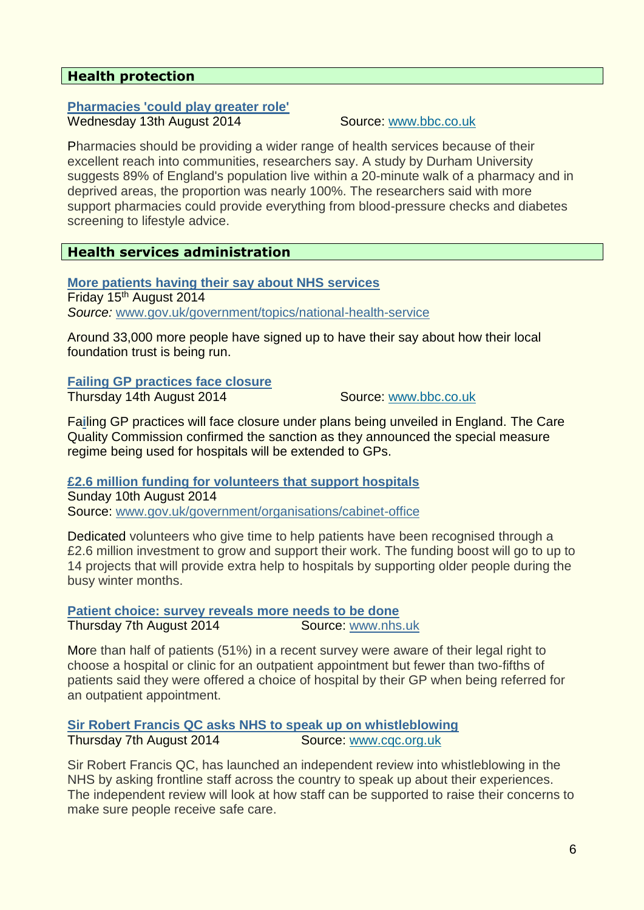# <span id="page-5-0"></span>**Health protection**

#### **[Pharmacies 'could play greater role'](http://www.bbc.co.uk/news/health-28756494)** Wednesday 13th August 2014 Source: [www.bbc.co.uk](http://www.bbc.co.uk/)

Pharmacies should be providing a wider range of health services because of their excellent reach into communities, researchers say. A study by Durham University suggests 89% of England's population live within a 20-minute walk of a pharmacy and in deprived areas, the proportion was nearly 100%. The researchers said with more support pharmacies could provide everything from blood-pressure checks and diabetes screening to lifestyle advice.

#### <span id="page-5-1"></span>**Health services administration**

**[More patients having their say about NHS services](https://www.gov.uk/government/news/more-patients-having-their-say-about-nhs-services)** Friday 15<sup>th</sup> August 2014 *Source:* www.gov.uk/government/topics/national-health-service

Around 33,000 more people have signed up to have their say about how their local foundation trust is being run.

# **[Failing GP practices face closure](http://www.bbc.co.uk/news/health-28775987)**

Thursday 14th August 2014 Source: [www.bbc.co.uk](http://www.bbc.co.uk/)

Fa**i**ling GP practices will face closure under plans being unveiled in England. The Care Quality Commission confirmed the sanction as they announced the special measure regime being used for hospitals will be extended to GPs.

**[£2.6 million funding for volunteers that support hospitals](http://www.wired-gov.net/wg/news.nsf/articles/2.6+million+funding+for+volunteers+that+support+hospitals+10082014090500)** Sunday 10th August 2014 Source: [www.gov.uk/government/organisations/cabinet-office](http://www.gov.uk/government/organisations/cabinet-office)

Dedicated volunteers who give time to help patients have been recognised through a £2.6 million investment to grow and support their work. The funding boost will go to up to 14 projects that will provide extra help to hospitals by supporting older people during the busy winter months.

#### **[Patient choice: survey reveals more needs to be done](https://www.gov.uk/government/news/patient-choice-survey-reveals-more-needs-to-be-done)** Thursday 7th August 2014 Source: [www.nhs.uk](http://www.nhs.uk/)

More than half of patients (51%) in a recent survey were aware of their legal right to choose a hospital or clinic for an outpatient appointment but fewer than two-fifths of patients said they were offered a choice of hospital by their GP when being referred for an outpatient appointment.

#### **[Sir Robert Francis QC asks NHS to speak up on whistleblowing](http://www.cqc.org.uk/content/sir-robert-francis-qc-asks-nhs-speak-whistleblowing)** Thursday 7th August 2014 Source: [www.cqc.org.uk](http://www.cqc.org.uk/)

Sir Robert Francis QC, has launched an independent review into whistleblowing in the NHS by asking frontline staff across the country to speak up about their experiences. The independent review will look at how staff can be supported to raise their concerns to make sure people receive safe care.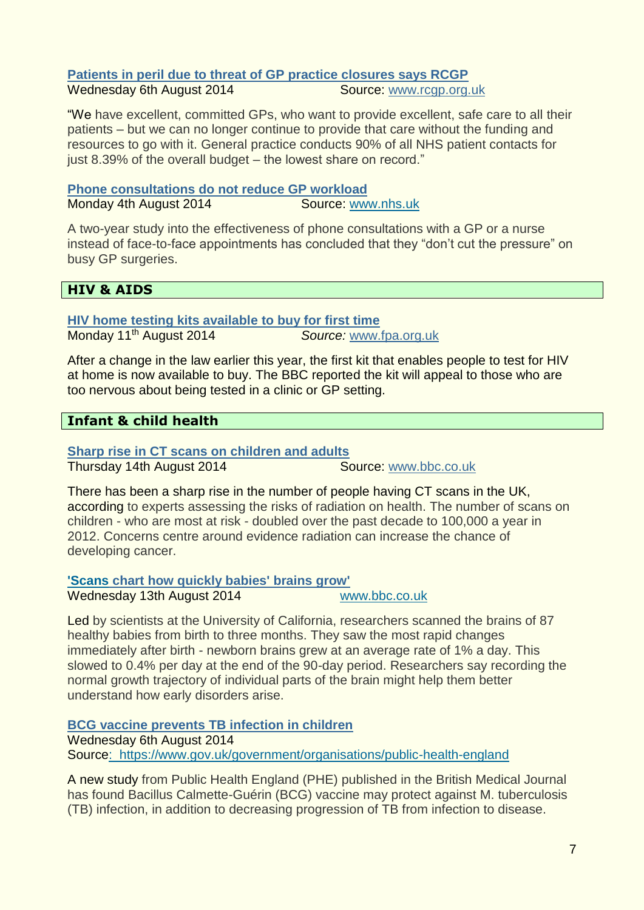#### **[Patients in peril due to threat of GP practice closures says RCGP](http://www.rcgp.org.uk/common-elements/rss/rss-news-feed.aspx)** Wednesday 6th August 2014

"We have excellent, committed GPs, who want to provide excellent, safe care to all their patients – but we can no longer continue to provide that care without the funding and resources to go with it. General practice conducts 90% of all NHS patient contacts for just 8.39% of the overall budget – the lowest share on record."

**[Phone consultations do not reduce GP workload](http://www.nhs.uk/news/2014/08August/Pages/phone-consultations-do-not-reduce-GP-workload.aspx)** Monday 4th August 2014 Source: [www.nhs.uk](http://www.nhs.uk/)

A two-year study into the effectiveness of phone consultations with a GP or a nurse instead of face-to-face appointments has concluded that they "don't cut the pressure" on busy GP surgeries.

# <span id="page-6-0"></span>**HIV & AIDS**

**[HIV home testing kits available to buy for first time](http://www.fpa.org.uk/fpa-news/all)** Monday 11th August 2014 *Source:* [www.fpa.org.uk](http://www.fpa.org.uk/)

After a change in the law earlier this year, the first kit that enables people to test for HIV at home is now available to buy. The BBC reported the kit will appeal to those who are too nervous about being tested in a clinic or GP setting.

# <span id="page-6-1"></span>**Infant & child health**

**[Sharp rise in CT scans on children and adults](http://www.bbc.co.uk/news/health-28785228)**

Thursday 14th August 2014 Source: [www.bbc.co.uk](http://www.bbc.co.uk/)

There has been a sharp rise in the number of people having CT scans in the UK, according to experts assessing the risks of radiation on health. The number of scans on children - who are most at risk - doubled over the past decade to 100,000 a year in 2012. Concerns centre around evidence radiation can increase the chance of developing cancer.

#### **'Scans [chart how quickly babies' brains grow'](http://www.bbc.co.uk/news/health-28740495)**

Wednesday 13th August 2014 [www.bbc.co.uk](http://www.bbc.co.uk/)

Led by scientists at the University of California, researchers scanned the brains of 87 healthy babies from birth to three months. They saw the most rapid changes immediately after birth - newborn brains grew at an average rate of 1% a day. This slowed to 0.4% per day at the end of the 90-day period. Researchers say recording the normal growth trajectory of individual parts of the brain might help them better understand how early disorders arise.

**[BCG vaccine prevents TB infection in children](https://www.gov.uk/government/news/bcg-vaccine-prevents-tb-infection-in-children)**

Wednesday 6th August 2014 Source: <https://www.gov.uk/government/organisations/public-health-england>

A new study from Public Health England (PHE) published in the British Medical Journal has found Bacillus Calmette-Guérin (BCG) vaccine may protect against M. tuberculosis (TB) infection, in addition to decreasing progression of TB from infection to disease.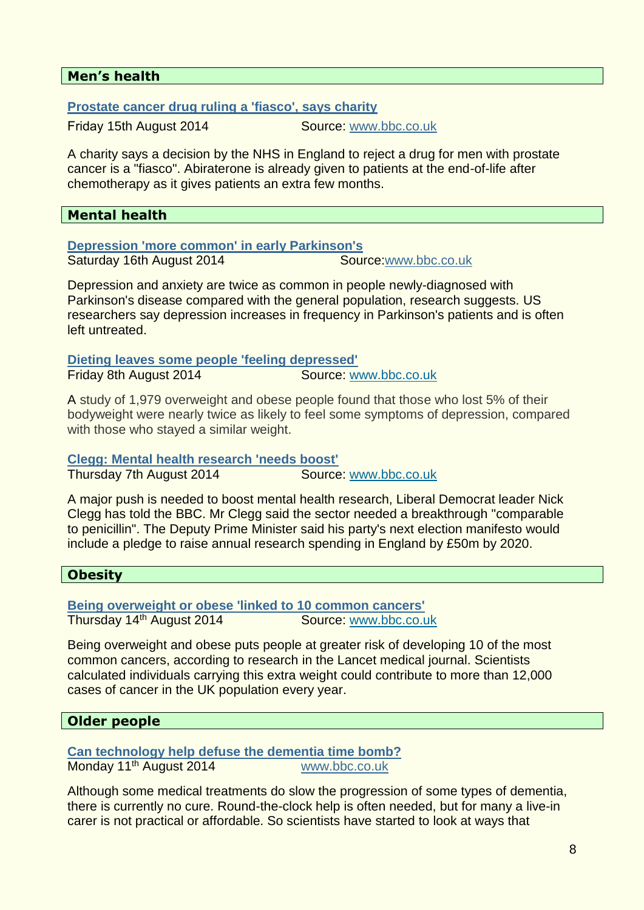#### <span id="page-7-2"></span>**Men's health**

**[Prostate cancer drug ruling a 'fiasco', says charity](http://www.bbc.co.uk/news/health-28785250)**

Friday 15th August 2014 Source: [www.bbc.co.uk](http://www.bbc.co.uk/)

A charity says a decision by the NHS in England to reject a drug for men with prostate cancer is a "fiasco". Abiraterone is already given to patients at the end-of-life after chemotherapy as it gives patients an extra few months.

#### <span id="page-7-3"></span>**Mental health**

**[Depression 'more common' in early Parkinson's](http://www.bbc.co.uk/news/health-28801953)**

Saturday 16th August 2014 Source:www.bbc.co.uk

Depression and anxiety are twice as common in people newly-diagnosed with Parkinson's disease compared with the general population, research suggests. US researchers say depression increases in frequency in Parkinson's patients and is often left untreated.

**[Dieting leaves some people 'feeling depressed'](http://www.nhs.uk/news/2014/08August/Pages/losing-weight-leaves-some-people-feeling-depressed.aspx)** Friday 8th August 2014 Source: [www.bbc.co.uk](http://www.bbc.co.uk/)

A study of 1,979 overweight and obese people found that those who lost 5% of their bodyweight were nearly twice as likely to feel some symptoms of depression, compared with those who stayed a similar weight.

**[Clegg: Mental health research 'needs boost'](http://www.bbc.co.uk/news/health-28689956)**

Thursday 7th August 2014 Source: [www.bbc.co.uk](http://www.bbc.co.uk/)

A major push is needed to boost mental health research, Liberal Democrat leader Nick Clegg has told the BBC. Mr Clegg said the sector needed a breakthrough "comparable to penicillin". The Deputy Prime Minister said his party's next election manifesto would include a pledge to raise annual research spending in England by £50m by 2020.

#### <span id="page-7-0"></span>**Obesity**

**[Being overweight or obese 'linked to 10 common cancers'](http://www.bbc.co.uk/news/health-28779493)** Thursday 14th August 2014 Source: [www.bbc.co.uk](http://www.bbc.co.uk/)

Being overweight and obese puts people at greater risk of developing 10 of the most common cancers, according to research in the Lancet medical journal. Scientists calculated individuals carrying this extra weight could contribute to more than 12,000 cases of cancer in the UK population every year.

#### <span id="page-7-1"></span>**Older people**

**[Can technology help defuse the dementia time bomb?](http://www.bbc.co.uk/guides/z3d99j6)** Monday 11<sup>th</sup> August 2014 **[www.bbc.co.uk](http://www.bbc.co.uk/)** 

Although some medical treatments do slow the progression of some types of dementia, there is currently no cure. Round-the-clock help is often needed, but for many a live-in carer is not practical or affordable. So scientists have started to look at ways that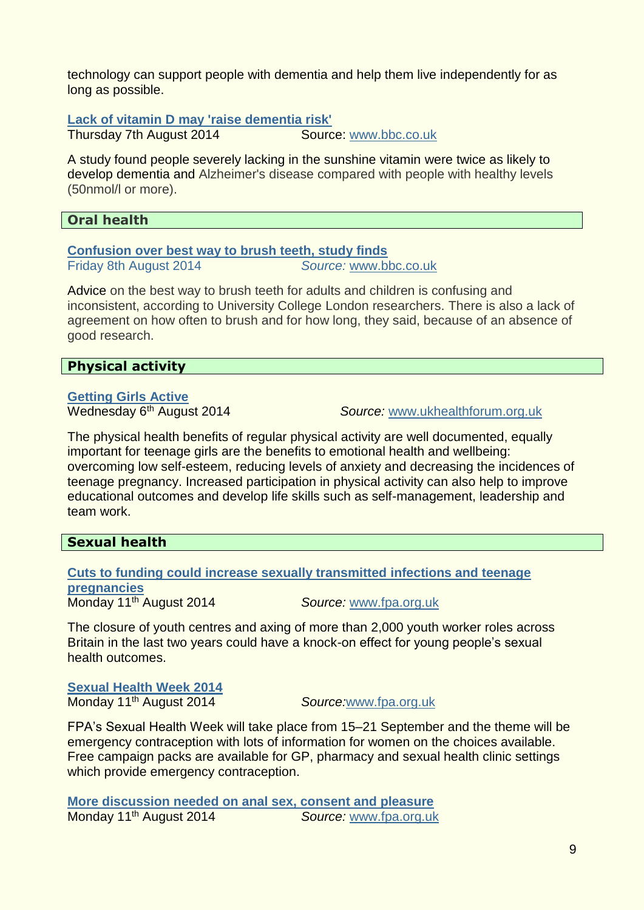technology can support people with dementia and help them live independently for as long as possible.

#### **[Lack of vitamin D may 'raise dementia risk'](http://www.nhs.uk/news/2014/08August/Pages/lack-of-vitamin-D-may-raise-dementia-risk.aspx)**

Thursday 7th August 2014 Source: [www.bbc.co.uk](http://www.bbc.co.uk/)

A study found people severely lacking in the sunshine vitamin were twice as likely to develop dementia and Alzheimer's disease compared with people with healthy levels (50nmol/l or more).

### **Oral health**

**[Confusion over best way to brush teeth, study finds](http://www.bbc.co.uk/news/health-28689887)** Friday 8th August 2014 *Source:* [www.bbc.co.uk](http://www.bbc.co.uk/)

Advice on the best way to brush teeth for adults and children is confusing and inconsistent, according to University College London researchers. There is also a lack of agreement on how often to brush and for how long, they said, because of an absence of good research.

#### <span id="page-8-0"></span>**Physical activity**

# **[Getting Girls Active](http://www.ukhealthforum.org.uk/prevention/pie/?entryid43=36794)**

Wednesday 6th August 2014 *Source:* [www.ukhealthforum.org.uk](http://www.ukhealthforum.org.uk/)

The physical health benefits of regular physical activity are well documented, equally important for teenage girls are the benefits to emotional health and wellbeing: overcoming low self-esteem, reducing levels of anxiety and decreasing the incidences of teenage pregnancy. Increased participation in physical activity can also help to improve educational outcomes and develop life skills such as self-management, leadership and team work.

#### <span id="page-8-1"></span>**Sexual health**

#### **[Cuts to funding could increase sexually transmitted infections and teenage](http://www.fpa.org.uk/fpa-news/all)  [pregnancies](http://www.fpa.org.uk/fpa-news/all)**

Monday 11th August 2014 *Source:* [www.fpa.org.uk](http://www.fpa.org.uk/)

The closure of youth centres and axing of more than 2,000 youth worker roles across Britain in the last two years could have a knock-on effect for young people's sexual health outcomes.

# **[Sexual Health Week 2014](http://www.fpa.org.uk/sexual-health-week/sexual-health-week-2014?utm_medium=email&utm_source=Family+Planning+Association&utm_campaign=4579147_Sexual+Health+News+11-15+August+2014&utm_content=shw&dm_i=61L,2Q5AJ,FOT9B2,9XOXM,1)**

Monday 11<sup>th</sup> August 2014

**Source:www.fpa.org.uk** 

FPA's Sexual Health Week will take place from 15–21 September and the theme will be emergency contraception with lots of information for women on the choices available. Free campaign packs are available for GP, pharmacy and sexual health clinic settings which provide emergency contraception.

**[More discussion needed on anal sex, consent and pleasure](http://www.fpa.org.uk/fpa-news/all)** Monday 11<sup>th</sup> August 2014 **Source:** www.fpa.org.uk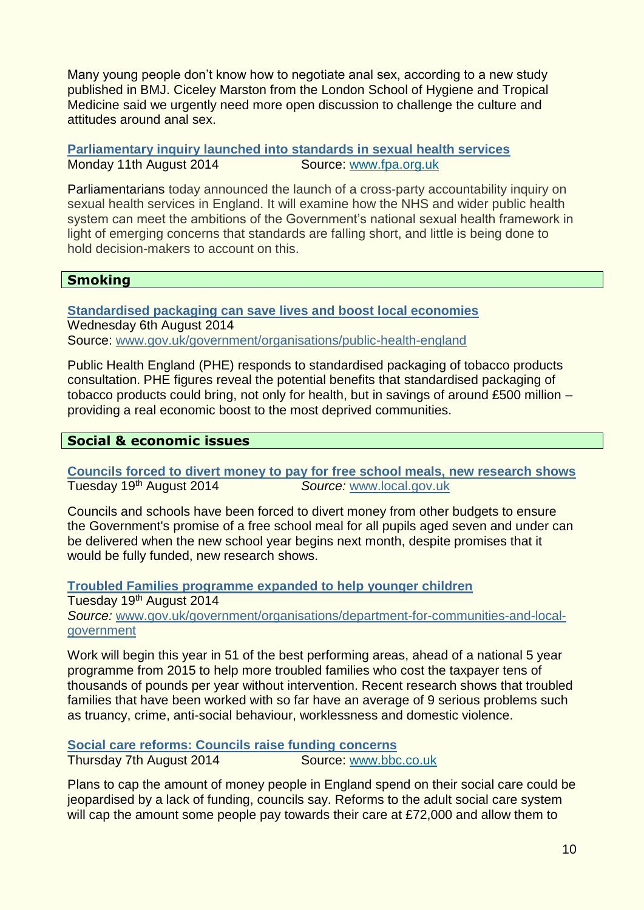Many young people don't know how to negotiate anal sex, according to a new study published in BMJ. Ciceley Marston from the London School of Hygiene and Tropical Medicine said we urgently need more open discussion to challenge the culture and attitudes around anal sex.

**[Parliamentary inquiry launched into standards in sexual health services](http://www.fpa.org.uk/news/parliamentary-inquiry-launched-standards-sexual-health-services)** Monday 11th August 2014 Source: [www.fpa.org.uk](http://www.fpa.org.uk/)

Parliamentarians today announced the launch of a cross-party accountability inquiry on sexual health services in England. It will examine how the NHS and wider public health system can meet the ambitions of the Government's national sexual health framework in light of emerging concerns that standards are falling short, and little is being done to hold decision-makers to account on this.

#### <span id="page-9-0"></span>**Smoking**

**[Standardised packaging can save lives and boost local economies](https://www.gov.uk/government/news/standardised-packaging-can-save-lives-and-boost-local-economies)** Wednesday 6th August 2014 Source: www.gov.uk/government/organisations/public-health-england

Public Health England (PHE) responds to standardised packaging of tobacco products consultation. PHE figures reveal the potential benefits that standardised packaging of tobacco products could bring, not only for health, but in savings of around £500 million – providing a real economic boost to the most deprived communities.

#### <span id="page-9-1"></span>**Social & economic issues**

**[Councils forced to divert money to pay for free school meals, new research shows](http://www.wired-gov.net/wg/news.nsf/articles/LGA+Councils+forced+to+divert+money+to+pay+for+free+school+meals+new+research+shows+19082014144029)** Tuesday 19th August 2014 *Source:* [www.local.gov.uk](http://www.local.gov.uk/)

Councils and schools have been forced to divert money from other budgets to ensure the Government's promise of a free school meal for all pupils aged seven and under can be delivered when the new school year begins next month, despite promises that it would be fully funded, new research shows.

**[Troubled Families programme expanded to help younger children](https://www.gov.uk/government/news/troubled-families-programme-expanded-to-help-younger-children)** Tuesday 19<sup>th</sup> August 2014 *Source:* [www.gov.uk/government/organisations/department-for-communities-and-local](http://www.gov.uk/government/organisations/department-for-communities-and-local-government)[government](http://www.gov.uk/government/organisations/department-for-communities-and-local-government)

Work will begin this year in 51 of the best performing areas, ahead of a national 5 year programme from 2015 to help more troubled families who cost the taxpayer tens of thousands of pounds per year without intervention. Recent research shows that troubled families that have been worked with so far have an average of 9 serious problems such as truancy, crime, anti-social behaviour, worklessness and domestic violence.

**[Social care reforms: Councils raise funding concerns](http://www.bbc.co.uk/news/health-28673385)** Thursday 7th August 2014 Source: [www.bbc.co.uk](http://www.bbc.co.uk/)

Plans to cap the amount of money people in England spend on their social care could be jeopardised by a lack of funding, councils say. Reforms to the adult social care system will cap the amount some people pay towards their care at £72,000 and allow them to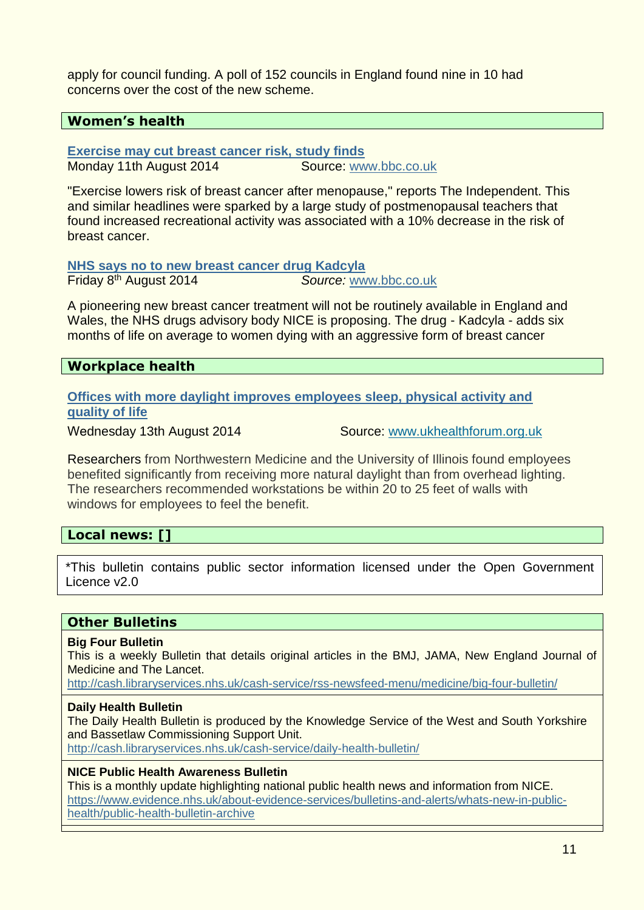apply for council funding. A poll of 152 councils in England found nine in 10 had concerns over the cost of the new scheme.

#### <span id="page-10-0"></span>**Women's health**

**[Exercise may cut breast cancer risk, study finds](http://www.nhs.uk/news/2014/08August/Pages/regular-exercise-in-later-life-reduces-breast-cancer-risk.aspx)**

Monday 11th August 2014 Source: [www.bbc.co.uk](http://www.bbc.co.uk/)

"Exercise lowers risk of breast cancer after menopause," reports The Independent. This and similar headlines were sparked by a large study of postmenopausal teachers that found increased recreational activity was associated with a 10% decrease in the risk of breast cancer.

**[NHS says no to new breast cancer drug Kadcyla](http://www.bbc.co.uk/news/health-28688311)**

Friday 8th August 2014 *Source:* [www.bbc.co.uk](http://www.bbc.co.uk/)

A pioneering new breast cancer treatment will not be routinely available in England and Wales, the NHS drugs advisory body NICE is proposing. The drug - Kadcyla - adds six months of life on average to women dying with an aggressive form of breast cancer

#### <span id="page-10-1"></span>**Workplace health**

**[Offices with more daylight improves employees sleep, physical activity and](http://www.ukhealthforum.org.uk/prevention/pie/?entryid43=36894)  [quality of life](http://www.ukhealthforum.org.uk/prevention/pie/?entryid43=36894)**

Wednesday 13th August 2014 Source: [www.ukhealthforum.org.uk](http://www.ukhealthforum.org.uk/)

Researchers from Northwestern Medicine and the University of Illinois found employees benefited significantly from receiving more natural daylight than from overhead lighting. The researchers recommended workstations be within 20 to 25 feet of walls with windows for employees to feel the benefit.

# **Local news: []**

\*This bulletin contains public sector information licensed under the Open Government Licence v2.0

# **Other Bulletins**

#### **Big Four Bulletin**

This is a weekly Bulletin that details original articles in the BMJ, JAMA, New England Journal of Medicine and The Lancet.

<http://cash.libraryservices.nhs.uk/cash-service/rss-newsfeed-menu/medicine/big-four-bulletin/>

#### **Daily Health Bulletin**

The Daily Health Bulletin is produced by the Knowledge Service of the West and South Yorkshire and Bassetlaw Commissioning Support Unit.

<http://cash.libraryservices.nhs.uk/cash-service/daily-health-bulletin/>

#### **NICE Public Health Awareness Bulletin**

This is a monthly update highlighting national public health news and information from NICE. [https://www.evidence.nhs.uk/about-evidence-services/bulletins-and-alerts/whats-new-in-public](https://www.evidence.nhs.uk/about-evidence-services/bulletins-and-alerts/whats-new-in-public-health/public-health-bulletin-archive)[health/public-health-bulletin-archive](https://www.evidence.nhs.uk/about-evidence-services/bulletins-and-alerts/whats-new-in-public-health/public-health-bulletin-archive)